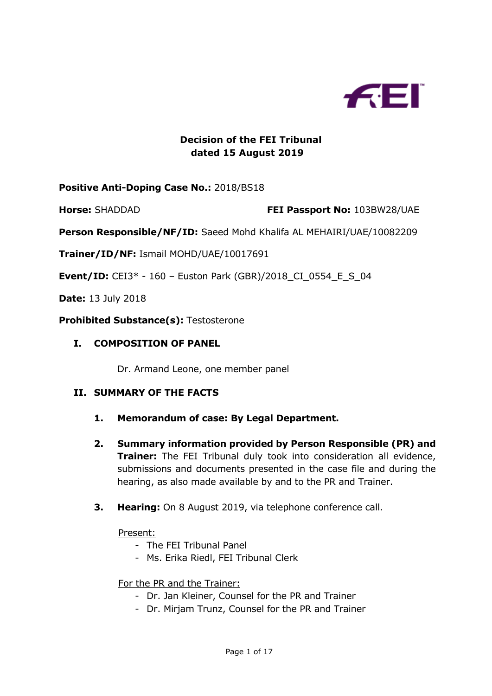

# **Decision of the FEI Tribunal dated 15 August 2019**

### **Positive Anti-Doping Case No.:** 2018/BS18

**Horse:** SHADDAD **FEI Passport No:** 103BW28/UAE

**Person Responsible/NF/ID:** Saeed Mohd Khalifa AL MEHAIRI/UAE/10082209

**Trainer/ID/NF:** Ismail MOHD/UAE/10017691

**Event/ID:** CEI3\* - 160 – Euston Park (GBR)/2018\_CI\_0554\_E\_S\_04

**Date:** 13 July 2018

**Prohibited Substance(s):** Testosterone

#### **I. COMPOSITION OF PANEL**

Dr. Armand Leone, one member panel

#### **II. SUMMARY OF THE FACTS**

- **1. Memorandum of case: By Legal Department.**
- **2. Summary information provided by Person Responsible (PR) and Trainer:** The FEI Tribunal duly took into consideration all evidence, submissions and documents presented in the case file and during the hearing, as also made available by and to the PR and Trainer.
- **3. Hearing:** On 8 August 2019, via telephone conference call.

Present:

- The FEI Tribunal Panel
- Ms. Erika Riedl, FEI Tribunal Clerk

#### For the PR and the Trainer:

- Dr. Jan Kleiner, Counsel for the PR and Trainer
- Dr. Mirjam Trunz, Counsel for the PR and Trainer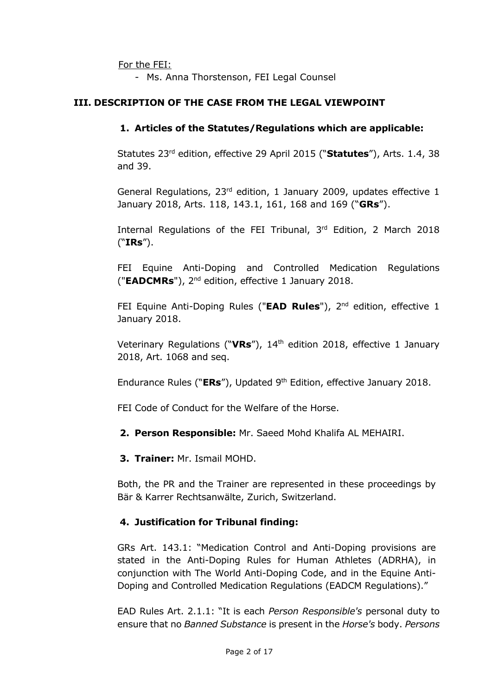For the FEI:

- Ms. Anna Thorstenson, FEI Legal Counsel

### **III. DESCRIPTION OF THE CASE FROM THE LEGAL VIEWPOINT**

### **1. Articles of the Statutes/Regulations which are applicable:**

Statutes 23rd edition, effective 29 April 2015 ("**Statutes**"), Arts. 1.4, 38 and 39.

General Regulations, 23rd edition, 1 January 2009, updates effective 1 January 2018, Arts. 118, 143.1, 161, 168 and 169 ("**GRs**").

Internal Regulations of the FEI Tribunal, 3rd Edition, 2 March 2018 ("**IRs**").

FEI Equine Anti-Doping and Controlled Medication Regulations ("**EADCMRs**"), 2nd edition, effective 1 January 2018.

FEI Equine Anti-Doping Rules ("**EAD Rules**"), 2<sup>nd</sup> edition, effective 1 January 2018.

Veterinary Regulations ("**VRs**"), 14th edition 2018, effective 1 January 2018, Art. 1068 and seq.

Endurance Rules ("**ERs**"), Updated 9<sup>th</sup> Edition, effective January 2018.

FEI Code of Conduct for the Welfare of the Horse.

**2. Person Responsible:** Mr. Saeed Mohd Khalifa AL MEHAIRI.

**3. Trainer:** Mr. Ismail MOHD.

Both, the PR and the Trainer are represented in these proceedings by Bär & Karrer Rechtsanwälte, Zurich, Switzerland.

# **4. Justification for Tribunal finding:**

GRs Art. 143.1: "Medication Control and Anti-Doping provisions are stated in the Anti-Doping Rules for Human Athletes (ADRHA), in conjunction with The World Anti-Doping Code, and in the Equine Anti-Doping and Controlled Medication Regulations (EADCM Regulations)."

EAD Rules Art. 2.1.1: "It is each *Person Responsible's* personal duty to ensure that no *Banned Substance* is present in the *Horse's* body. *Persons*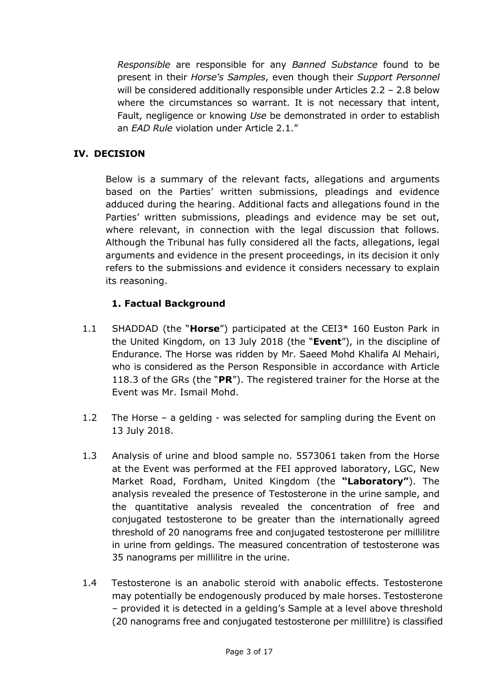*Responsible* are responsible for any *Banned Substance* found to be present in their *Horse's Samples*, even though their *Support Personnel* will be considered additionally responsible under Articles 2.2 – 2.8 below where the circumstances so warrant. It is not necessary that intent, Fault, negligence or knowing *Use* be demonstrated in order to establish an *EAD Rule* violation under Article 2.1."

# **IV. DECISION**

Below is a summary of the relevant facts, allegations and arguments based on the Parties' written submissions, pleadings and evidence adduced during the hearing. Additional facts and allegations found in the Parties' written submissions, pleadings and evidence may be set out, where relevant, in connection with the legal discussion that follows. Although the Tribunal has fully considered all the facts, allegations, legal arguments and evidence in the present proceedings, in its decision it only refers to the submissions and evidence it considers necessary to explain its reasoning.

# **1. Factual Background**

- 1.1 SHADDAD (the "**Horse**") participated at the CEI3\* 160 Euston Park in the United Kingdom, on 13 July 2018 (the "**Event**"), in the discipline of Endurance. The Horse was ridden by Mr. Saeed Mohd Khalifa Al Mehairi, who is considered as the Person Responsible in accordance with Article 118.3 of the GRs (the "**PR**"). The registered trainer for the Horse at the Event was Mr. Ismail Mohd.
- 1.2 The Horse a gelding was selected for sampling during the Event on 13 July 2018.
- 1.3 Analysis of urine and blood sample no. 5573061 taken from the Horse at the Event was performed at the FEI approved laboratory, LGC, New Market Road, Fordham, United Kingdom (the **"Laboratory"**). The analysis revealed the presence of Testosterone in the urine sample, and the quantitative analysis revealed the concentration of free and conjugated testosterone to be greater than the internationally agreed threshold of 20 nanograms free and conjugated testosterone per millilitre in urine from geldings. The measured concentration of testosterone was 35 nanograms per millilitre in the urine.
- 1.4 Testosterone is an anabolic steroid with anabolic effects. Testosterone may potentially be endogenously produced by male horses. Testosterone – provided it is detected in a gelding's Sample at a level above threshold (20 nanograms free and conjugated testosterone per millilitre) is classified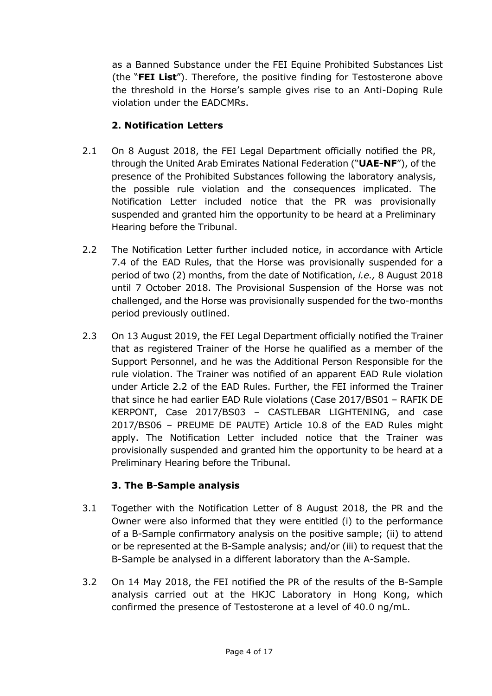as a Banned Substance under the FEI Equine Prohibited Substances List (the "**FEI List**"). Therefore, the positive finding for Testosterone above the threshold in the Horse's sample gives rise to an Anti-Doping Rule violation under the EADCMRs.

# **2. Notification Letters**

- 2.1 On 8 August 2018, the FEI Legal Department officially notified the PR, through the United Arab Emirates National Federation ("**UAE-NF**"), of the presence of the Prohibited Substances following the laboratory analysis, the possible rule violation and the consequences implicated. The Notification Letter included notice that the PR was provisionally suspended and granted him the opportunity to be heard at a Preliminary Hearing before the Tribunal.
- 2.2 The Notification Letter further included notice, in accordance with Article 7.4 of the EAD Rules, that the Horse was provisionally suspended for a period of two (2) months, from the date of Notification, *i.e.,* 8 August 2018 until 7 October 2018. The Provisional Suspension of the Horse was not challenged, and the Horse was provisionally suspended for the two-months period previously outlined.
- 2.3 On 13 August 2019, the FEI Legal Department officially notified the Trainer that as registered Trainer of the Horse he qualified as a member of the Support Personnel, and he was the Additional Person Responsible for the rule violation. The Trainer was notified of an apparent EAD Rule violation under Article 2.2 of the EAD Rules. Further, the FEI informed the Trainer that since he had earlier EAD Rule violations (Case 2017/BS01 – RAFIK DE KERPONT, Case 2017/BS03 – CASTLEBAR LIGHTENING, and case 2017/BS06 – PREUME DE PAUTE) Article 10.8 of the EAD Rules might apply. The Notification Letter included notice that the Trainer was provisionally suspended and granted him the opportunity to be heard at a Preliminary Hearing before the Tribunal.

# **3. The B-Sample analysis**

- 3.1 Together with the Notification Letter of 8 August 2018, the PR and the Owner were also informed that they were entitled (i) to the performance of a B-Sample confirmatory analysis on the positive sample; (ii) to attend or be represented at the B-Sample analysis; and/or (iii) to request that the B-Sample be analysed in a different laboratory than the A-Sample.
- 3.2 On 14 May 2018, the FEI notified the PR of the results of the B-Sample analysis carried out at the HKJC Laboratory in Hong Kong, which confirmed the presence of Testosterone at a level of 40.0 ng/mL.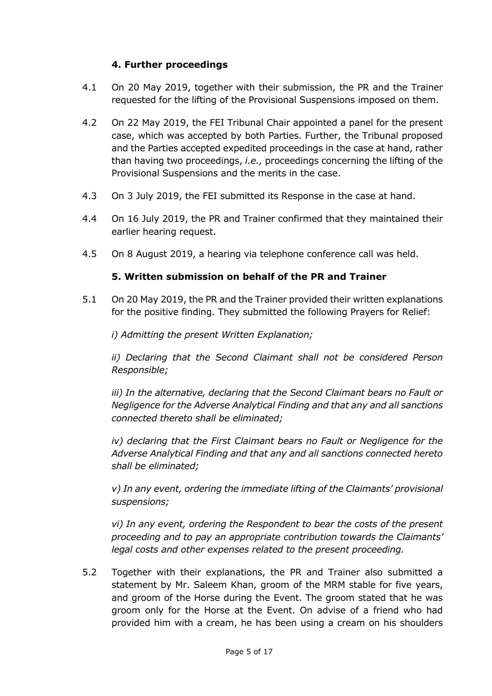### **4. Further proceedings**

- 4.1 On 20 May 2019, together with their submission, the PR and the Trainer requested for the lifting of the Provisional Suspensions imposed on them.
- 4.2 On 22 May 2019, the FEI Tribunal Chair appointed a panel for the present case, which was accepted by both Parties. Further, the Tribunal proposed and the Parties accepted expedited proceedings in the case at hand, rather than having two proceedings, *i.e.,* proceedings concerning the lifting of the Provisional Suspensions and the merits in the case.
- 4.3 On 3 July 2019, the FEI submitted its Response in the case at hand.
- 4.4 On 16 July 2019, the PR and Trainer confirmed that they maintained their earlier hearing request.
- 4.5 On 8 August 2019, a hearing via telephone conference call was held.

### **5. Written submission on behalf of the PR and Trainer**

5.1 On 20 May 2019, the PR and the Trainer provided their written explanations for the positive finding. They submitted the following Prayers for Relief:

*i) Admitting the present Written Explanation;*

*ii) Declaring that the Second Claimant shall not be considered Person Responsible;*

*iii) In the alternative, declaring that the Second Claimant bears no Fault or Negligence for the Adverse Analytical Finding and that any and all sanctions connected thereto shall be eliminated;*

*iv)* declaring that the First Claimant bears no Fault or Negligence for the *Adverse Analytical Finding and that any and all sanctions connected hereto shall be eliminated;*

*v) In any event, ordering the immediate lifting of the Claimants' provisional suspensions;*

*vi) In any event, ordering the Respondent to bear the costs of the present proceeding and to pay an appropriate contribution towards the Claimants' legal costs and other expenses related to the present proceeding.*

5.2 Together with their explanations, the PR and Trainer also submitted a statement by Mr. Saleem Khan, groom of the MRM stable for five years, and groom of the Horse during the Event. The groom stated that he was groom only for the Horse at the Event. On advise of a friend who had provided him with a cream, he has been using a cream on his shoulders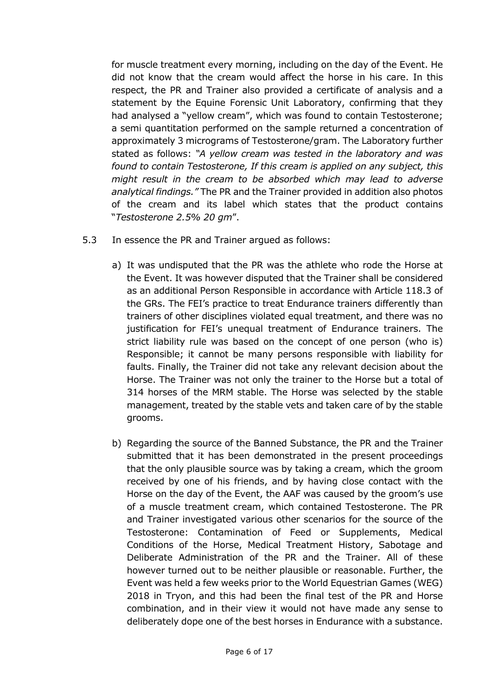for muscle treatment every morning, including on the day of the Event. He did not know that the cream would affect the horse in his care. In this respect, the PR and Trainer also provided a certificate of analysis and a statement by the Equine Forensic Unit Laboratory, confirming that they had analysed a "yellow cream", which was found to contain Testosterone; a semi quantitation performed on the sample returned a concentration of approximately 3 micrograms of Testosterone/gram. The Laboratory further stated as follows: *"A yellow cream was tested in the laboratory and was found to contain Testosterone, If this cream is applied on any subject, this might result in the cream to be absorbed which may lead to adverse analytical findings."* The PR and the Trainer provided in addition also photos of the cream and its label which states that the product contains "*Testosterone 2.5% 20 gm*".

- 5.3 In essence the PR and Trainer argued as follows:
	- a) It was undisputed that the PR was the athlete who rode the Horse at the Event. It was however disputed that the Trainer shall be considered as an additional Person Responsible in accordance with Article 118.3 of the GRs. The FEI's practice to treat Endurance trainers differently than trainers of other disciplines violated equal treatment, and there was no justification for FEI's unequal treatment of Endurance trainers. The strict liability rule was based on the concept of one person (who is) Responsible; it cannot be many persons responsible with liability for faults. Finally, the Trainer did not take any relevant decision about the Horse. The Trainer was not only the trainer to the Horse but a total of 314 horses of the MRM stable. The Horse was selected by the stable management, treated by the stable vets and taken care of by the stable grooms.
	- b) Regarding the source of the Banned Substance, the PR and the Trainer submitted that it has been demonstrated in the present proceedings that the only plausible source was by taking a cream, which the groom received by one of his friends, and by having close contact with the Horse on the day of the Event, the AAF was caused by the groom's use of a muscle treatment cream, which contained Testosterone. The PR and Trainer investigated various other scenarios for the source of the Testosterone: Contamination of Feed or Supplements, Medical Conditions of the Horse, Medical Treatment History, Sabotage and Deliberate Administration of the PR and the Trainer. All of these however turned out to be neither plausible or reasonable. Further, the Event was held a few weeks prior to the World Equestrian Games (WEG) 2018 in Tryon, and this had been the final test of the PR and Horse combination, and in their view it would not have made any sense to deliberately dope one of the best horses in Endurance with a substance.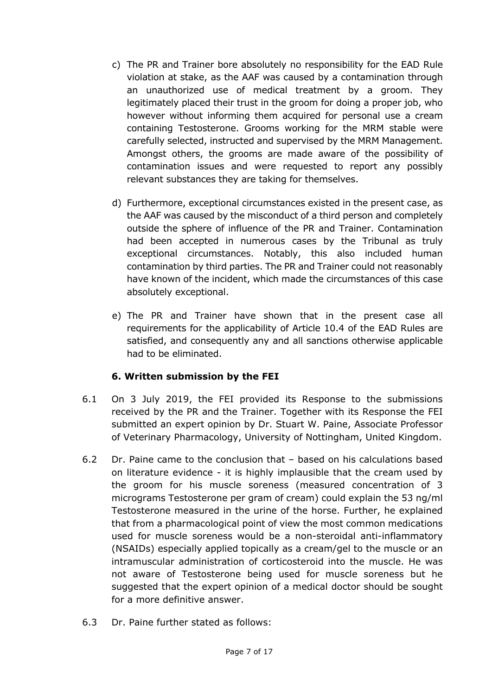- c) The PR and Trainer bore absolutely no responsibility for the EAD Rule violation at stake, as the AAF was caused by a contamination through an unauthorized use of medical treatment by a groom. They legitimately placed their trust in the groom for doing a proper job, who however without informing them acquired for personal use a cream containing Testosterone. Grooms working for the MRM stable were carefully selected, instructed and supervised by the MRM Management. Amongst others, the grooms are made aware of the possibility of contamination issues and were requested to report any possibly relevant substances they are taking for themselves.
- d) Furthermore, exceptional circumstances existed in the present case, as the AAF was caused by the misconduct of a third person and completely outside the sphere of influence of the PR and Trainer. Contamination had been accepted in numerous cases by the Tribunal as truly exceptional circumstances. Notably, this also included human contamination by third parties. The PR and Trainer could not reasonably have known of the incident, which made the circumstances of this case absolutely exceptional.
- e) The PR and Trainer have shown that in the present case all requirements for the applicability of Article 10.4 of the EAD Rules are satisfied, and consequently any and all sanctions otherwise applicable had to be eliminated.

# **6. Written submission by the FEI**

- 6.1 On 3 July 2019, the FEI provided its Response to the submissions received by the PR and the Trainer. Together with its Response the FEI submitted an expert opinion by Dr. Stuart W. Paine, Associate Professor of Veterinary Pharmacology, University of Nottingham, United Kingdom.
- 6.2 Dr. Paine came to the conclusion that based on his calculations based on literature evidence - it is highly implausible that the cream used by the groom for his muscle soreness (measured concentration of 3 micrograms Testosterone per gram of cream) could explain the 53 ng/ml Testosterone measured in the urine of the horse. Further, he explained that from a pharmacological point of view the most common medications used for muscle soreness would be a non-steroidal anti-inflammatory (NSAIDs) especially applied topically as a cream/gel to the muscle or an intramuscular administration of corticosteroid into the muscle. He was not aware of Testosterone being used for muscle soreness but he suggested that the expert opinion of a medical doctor should be sought for a more definitive answer.
- 6.3 Dr. Paine further stated as follows: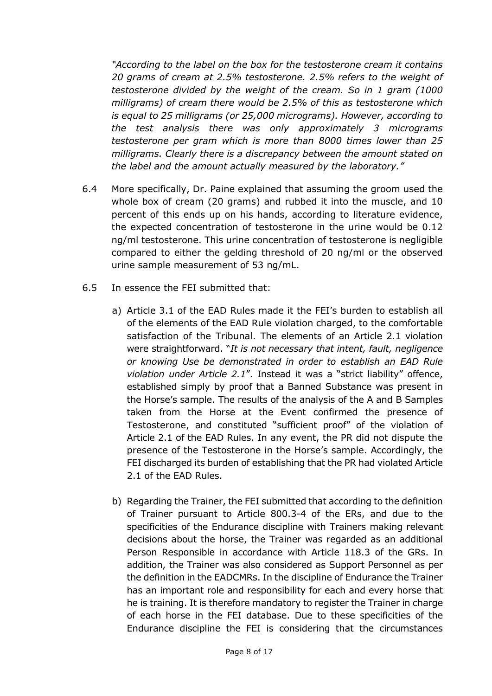*"According to the label on the box for the testosterone cream it contains 20 grams of cream at 2.5% testosterone. 2.5% refers to the weight of testosterone divided by the weight of the cream. So in 1 gram (1000 milligrams) of cream there would be 2.5% of this as testosterone which is equal to 25 milligrams (or 25,000 micrograms). However, according to the test analysis there was only approximately 3 micrograms testosterone per gram which is more than 8000 times lower than 25 milligrams. Clearly there is a discrepancy between the amount stated on the label and the amount actually measured by the laboratory."*

- 6.4 More specifically, Dr. Paine explained that assuming the groom used the whole box of cream (20 grams) and rubbed it into the muscle, and 10 percent of this ends up on his hands, according to literature evidence, the expected concentration of testosterone in the urine would be 0.12 ng/ml testosterone. This urine concentration of testosterone is negligible compared to either the gelding threshold of 20 ng/ml or the observed urine sample measurement of 53 ng/mL.
- 6.5 In essence the FEI submitted that:
	- a) Article 3.1 of the EAD Rules made it the FEI's burden to establish all of the elements of the EAD Rule violation charged, to the comfortable satisfaction of the Tribunal. The elements of an Article 2.1 violation were straightforward. "*It is not necessary that intent, fault, negligence or knowing Use be demonstrated in order to establish an EAD Rule violation under Article 2.1*". Instead it was a "strict liability" offence, established simply by proof that a Banned Substance was present in the Horse's sample. The results of the analysis of the A and B Samples taken from the Horse at the Event confirmed the presence of Testosterone, and constituted "sufficient proof" of the violation of Article 2.1 of the EAD Rules. In any event, the PR did not dispute the presence of the Testosterone in the Horse's sample. Accordingly, the FEI discharged its burden of establishing that the PR had violated Article 2.1 of the EAD Rules.
	- b) Regarding the Trainer, the FEI submitted that according to the definition of Trainer pursuant to Article 800.3-4 of the ERs, and due to the specificities of the Endurance discipline with Trainers making relevant decisions about the horse, the Trainer was regarded as an additional Person Responsible in accordance with Article 118.3 of the GRs. In addition, the Trainer was also considered as Support Personnel as per the definition in the EADCMRs. In the discipline of Endurance the Trainer has an important role and responsibility for each and every horse that he is training. It is therefore mandatory to register the Trainer in charge of each horse in the FEI database. Due to these specificities of the Endurance discipline the FEI is considering that the circumstances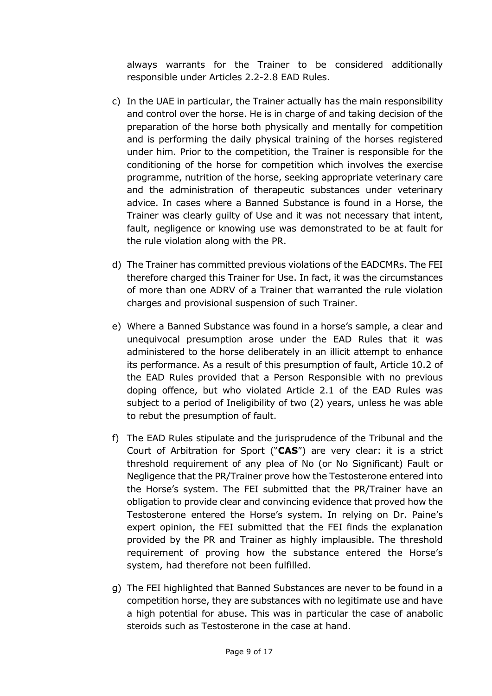always warrants for the Trainer to be considered additionally responsible under Articles 2.2-2.8 EAD Rules.

- c) In the UAE in particular, the Trainer actually has the main responsibility and control over the horse. He is in charge of and taking decision of the preparation of the horse both physically and mentally for competition and is performing the daily physical training of the horses registered under him. Prior to the competition, the Trainer is responsible for the conditioning of the horse for competition which involves the exercise programme, nutrition of the horse, seeking appropriate veterinary care and the administration of therapeutic substances under veterinary advice. In cases where a Banned Substance is found in a Horse, the Trainer was clearly guilty of Use and it was not necessary that intent, fault, negligence or knowing use was demonstrated to be at fault for the rule violation along with the PR.
- d) The Trainer has committed previous violations of the EADCMRs. The FEI therefore charged this Trainer for Use. In fact, it was the circumstances of more than one ADRV of a Trainer that warranted the rule violation charges and provisional suspension of such Trainer.
- e) Where a Banned Substance was found in a horse's sample, a clear and unequivocal presumption arose under the EAD Rules that it was administered to the horse deliberately in an illicit attempt to enhance its performance. As a result of this presumption of fault, Article 10.2 of the EAD Rules provided that a Person Responsible with no previous doping offence, but who violated Article 2.1 of the EAD Rules was subject to a period of Ineligibility of two (2) years, unless he was able to rebut the presumption of fault.
- f) The EAD Rules stipulate and the jurisprudence of the Tribunal and the Court of Arbitration for Sport ("**CAS**") are very clear: it is a strict threshold requirement of any plea of No (or No Significant) Fault or Negligence that the PR/Trainer prove how the Testosterone entered into the Horse's system. The FEI submitted that the PR/Trainer have an obligation to provide clear and convincing evidence that proved how the Testosterone entered the Horse's system. In relying on Dr. Paine's expert opinion, the FEI submitted that the FEI finds the explanation provided by the PR and Trainer as highly implausible. The threshold requirement of proving how the substance entered the Horse's system, had therefore not been fulfilled.
- g) The FEI highlighted that Banned Substances are never to be found in a competition horse, they are substances with no legitimate use and have a high potential for abuse. This was in particular the case of anabolic steroids such as Testosterone in the case at hand.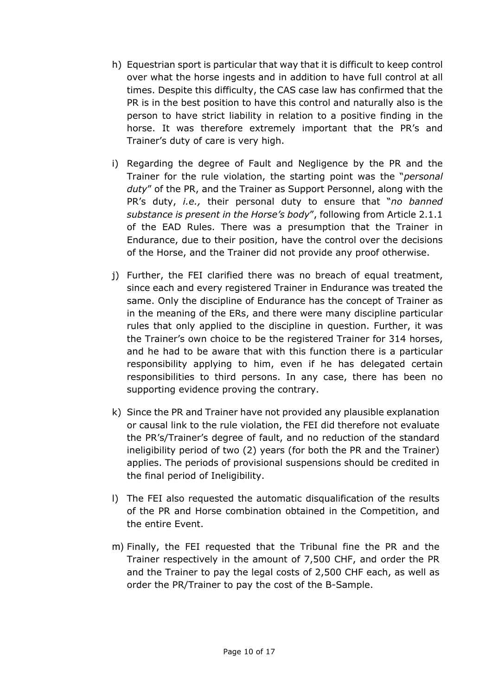- h) Equestrian sport is particular that way that it is difficult to keep control over what the horse ingests and in addition to have full control at all times. Despite this difficulty, the CAS case law has confirmed that the PR is in the best position to have this control and naturally also is the person to have strict liability in relation to a positive finding in the horse. It was therefore extremely important that the PR's and Trainer's duty of care is very high.
- i) Regarding the degree of Fault and Negligence by the PR and the Trainer for the rule violation, the starting point was the "*personal duty*" of the PR, and the Trainer as Support Personnel, along with the PR's duty, *i.e.,* their personal duty to ensure that "*no banned substance is present in the Horse's body*", following from Article 2.1.1 of the EAD Rules. There was a presumption that the Trainer in Endurance, due to their position, have the control over the decisions of the Horse, and the Trainer did not provide any proof otherwise.
- j) Further, the FEI clarified there was no breach of equal treatment, since each and every registered Trainer in Endurance was treated the same. Only the discipline of Endurance has the concept of Trainer as in the meaning of the ERs, and there were many discipline particular rules that only applied to the discipline in question. Further, it was the Trainer's own choice to be the registered Trainer for 314 horses, and he had to be aware that with this function there is a particular responsibility applying to him, even if he has delegated certain responsibilities to third persons. In any case, there has been no supporting evidence proving the contrary.
- k) Since the PR and Trainer have not provided any plausible explanation or causal link to the rule violation, the FEI did therefore not evaluate the PR's/Trainer's degree of fault, and no reduction of the standard ineligibility period of two (2) years (for both the PR and the Trainer) applies. The periods of provisional suspensions should be credited in the final period of Ineligibility.
- l) The FEI also requested the automatic disqualification of the results of the PR and Horse combination obtained in the Competition, and the entire Event.
- m) Finally, the FEI requested that the Tribunal fine the PR and the Trainer respectively in the amount of 7,500 CHF, and order the PR and the Trainer to pay the legal costs of 2,500 CHF each, as well as order the PR/Trainer to pay the cost of the B-Sample.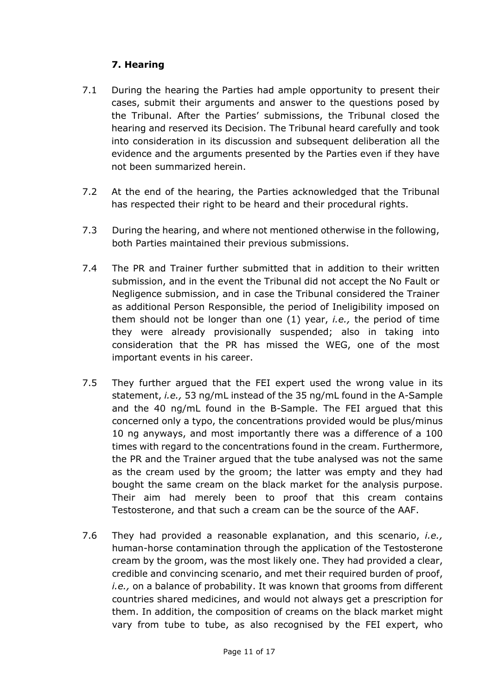# **7. Hearing**

- 7.1 During the hearing the Parties had ample opportunity to present their cases, submit their arguments and answer to the questions posed by the Tribunal. After the Parties' submissions, the Tribunal closed the hearing and reserved its Decision. The Tribunal heard carefully and took into consideration in its discussion and subsequent deliberation all the evidence and the arguments presented by the Parties even if they have not been summarized herein.
- 7.2 At the end of the hearing, the Parties acknowledged that the Tribunal has respected their right to be heard and their procedural rights.
- 7.3 During the hearing, and where not mentioned otherwise in the following, both Parties maintained their previous submissions.
- 7.4 The PR and Trainer further submitted that in addition to their written submission, and in the event the Tribunal did not accept the No Fault or Negligence submission, and in case the Tribunal considered the Trainer as additional Person Responsible, the period of Ineligibility imposed on them should not be longer than one (1) year, *i.e.,* the period of time they were already provisionally suspended; also in taking into consideration that the PR has missed the WEG, one of the most important events in his career.
- 7.5 They further argued that the FEI expert used the wrong value in its statement, *i.e.,* 53 ng/mL instead of the 35 ng/mL found in the A-Sample and the 40 ng/mL found in the B-Sample. The FEI argued that this concerned only a typo, the concentrations provided would be plus/minus 10 ng anyways, and most importantly there was a difference of a 100 times with regard to the concentrations found in the cream. Furthermore, the PR and the Trainer argued that the tube analysed was not the same as the cream used by the groom; the latter was empty and they had bought the same cream on the black market for the analysis purpose. Their aim had merely been to proof that this cream contains Testosterone, and that such a cream can be the source of the AAF.
- 7.6 They had provided a reasonable explanation, and this scenario, *i.e.,* human-horse contamination through the application of the Testosterone cream by the groom, was the most likely one. They had provided a clear, credible and convincing scenario, and met their required burden of proof, *i.e.,* on a balance of probability. It was known that grooms from different countries shared medicines, and would not always get a prescription for them. In addition, the composition of creams on the black market might vary from tube to tube, as also recognised by the FEI expert, who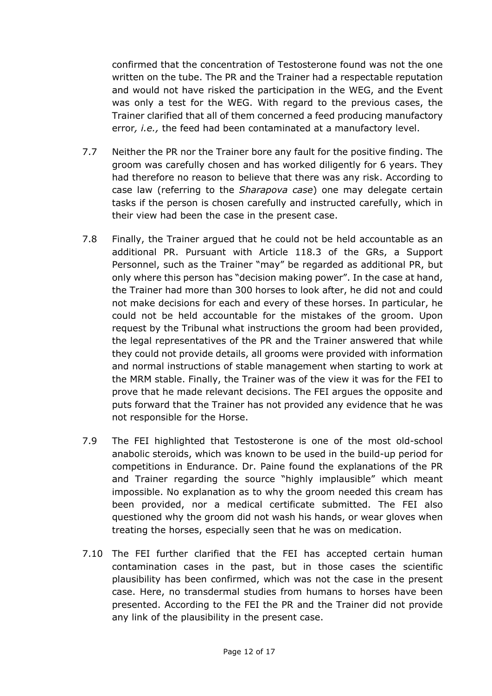confirmed that the concentration of Testosterone found was not the one written on the tube. The PR and the Trainer had a respectable reputation and would not have risked the participation in the WEG, and the Event was only a test for the WEG. With regard to the previous cases, the Trainer clarified that all of them concerned a feed producing manufactory error*, i.e.,* the feed had been contaminated at a manufactory level.

- 7.7 Neither the PR nor the Trainer bore any fault for the positive finding. The groom was carefully chosen and has worked diligently for 6 years. They had therefore no reason to believe that there was any risk. According to case law (referring to the *Sharapova case*) one may delegate certain tasks if the person is chosen carefully and instructed carefully, which in their view had been the case in the present case.
- 7.8 Finally, the Trainer argued that he could not be held accountable as an additional PR. Pursuant with Article 118.3 of the GRs, a Support Personnel, such as the Trainer "may" be regarded as additional PR, but only where this person has "decision making power". In the case at hand, the Trainer had more than 300 horses to look after, he did not and could not make decisions for each and every of these horses. In particular, he could not be held accountable for the mistakes of the groom. Upon request by the Tribunal what instructions the groom had been provided, the legal representatives of the PR and the Trainer answered that while they could not provide details, all grooms were provided with information and normal instructions of stable management when starting to work at the MRM stable. Finally, the Trainer was of the view it was for the FEI to prove that he made relevant decisions. The FEI argues the opposite and puts forward that the Trainer has not provided any evidence that he was not responsible for the Horse.
- 7.9 The FEI highlighted that Testosterone is one of the most old-school anabolic steroids, which was known to be used in the build-up period for competitions in Endurance. Dr. Paine found the explanations of the PR and Trainer regarding the source "highly implausible" which meant impossible. No explanation as to why the groom needed this cream has been provided, nor a medical certificate submitted. The FEI also questioned why the groom did not wash his hands, or wear gloves when treating the horses, especially seen that he was on medication.
- 7.10 The FEI further clarified that the FEI has accepted certain human contamination cases in the past, but in those cases the scientific plausibility has been confirmed, which was not the case in the present case. Here, no transdermal studies from humans to horses have been presented. According to the FEI the PR and the Trainer did not provide any link of the plausibility in the present case.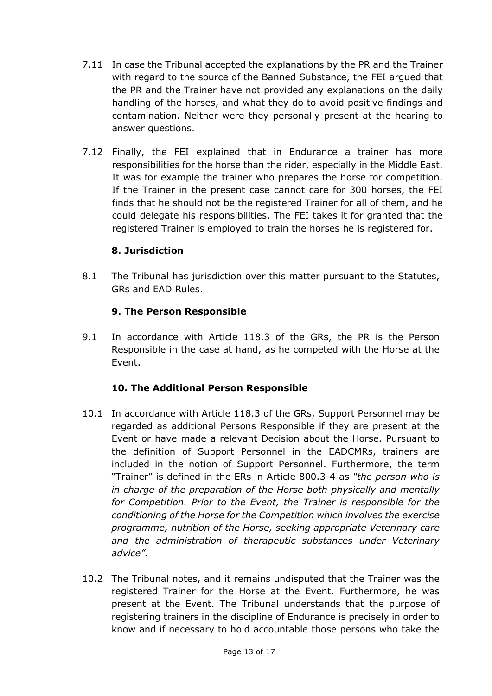- 7.11 In case the Tribunal accepted the explanations by the PR and the Trainer with regard to the source of the Banned Substance, the FEI argued that the PR and the Trainer have not provided any explanations on the daily handling of the horses, and what they do to avoid positive findings and contamination. Neither were they personally present at the hearing to answer questions.
- 7.12 Finally, the FEI explained that in Endurance a trainer has more responsibilities for the horse than the rider, especially in the Middle East. It was for example the trainer who prepares the horse for competition. If the Trainer in the present case cannot care for 300 horses, the FEI finds that he should not be the registered Trainer for all of them, and he could delegate his responsibilities. The FEI takes it for granted that the registered Trainer is employed to train the horses he is registered for.

### **8. Jurisdiction**

8.1 The Tribunal has jurisdiction over this matter pursuant to the Statutes, GRs and EAD Rules.

#### **9. The Person Responsible**

9.1 In accordance with Article 118.3 of the GRs, the PR is the Person Responsible in the case at hand, as he competed with the Horse at the Event.

#### **10. The Additional Person Responsible**

- 10.1 In accordance with Article 118.3 of the GRs, Support Personnel may be regarded as additional Persons Responsible if they are present at the Event or have made a relevant Decision about the Horse. Pursuant to the definition of Support Personnel in the EADCMRs, trainers are included in the notion of Support Personnel. Furthermore, the term "Trainer" is defined in the ERs in Article 800.3-4 as *"the person who is in charge of the preparation of the Horse both physically and mentally for Competition. Prior to the Event, the Trainer is responsible for the conditioning of the Horse for the Competition which involves the exercise programme, nutrition of the Horse, seeking appropriate Veterinary care and the administration of therapeutic substances under Veterinary advice".*
- 10.2 The Tribunal notes, and it remains undisputed that the Trainer was the registered Trainer for the Horse at the Event. Furthermore, he was present at the Event. The Tribunal understands that the purpose of registering trainers in the discipline of Endurance is precisely in order to know and if necessary to hold accountable those persons who take the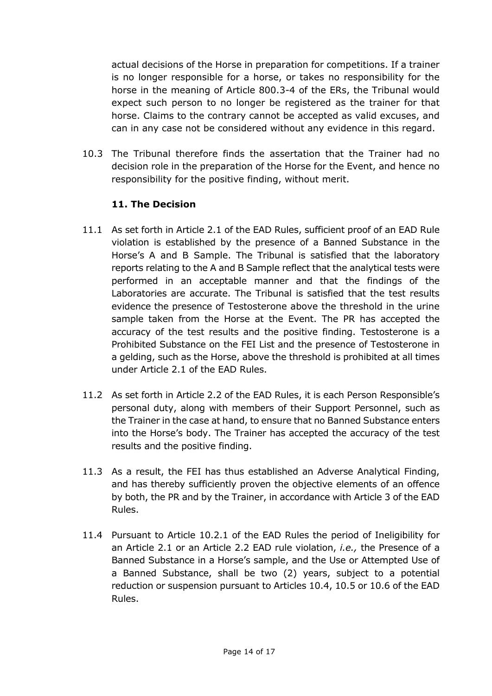actual decisions of the Horse in preparation for competitions. If a trainer is no longer responsible for a horse, or takes no responsibility for the horse in the meaning of Article 800.3-4 of the ERs, the Tribunal would expect such person to no longer be registered as the trainer for that horse. Claims to the contrary cannot be accepted as valid excuses, and can in any case not be considered without any evidence in this regard.

10.3 The Tribunal therefore finds the assertation that the Trainer had no decision role in the preparation of the Horse for the Event, and hence no responsibility for the positive finding, without merit.

# **11. The Decision**

- 11.1 As set forth in Article 2.1 of the EAD Rules, sufficient proof of an EAD Rule violation is established by the presence of a Banned Substance in the Horse's A and B Sample. The Tribunal is satisfied that the laboratory reports relating to the A and B Sample reflect that the analytical tests were performed in an acceptable manner and that the findings of the Laboratories are accurate. The Tribunal is satisfied that the test results evidence the presence of Testosterone above the threshold in the urine sample taken from the Horse at the Event. The PR has accepted the accuracy of the test results and the positive finding. Testosterone is a Prohibited Substance on the FEI List and the presence of Testosterone in a gelding, such as the Horse, above the threshold is prohibited at all times under Article 2.1 of the EAD Rules.
- 11.2 As set forth in Article 2.2 of the EAD Rules, it is each Person Responsible's personal duty, along with members of their Support Personnel, such as the Trainer in the case at hand, to ensure that no Banned Substance enters into the Horse's body. The Trainer has accepted the accuracy of the test results and the positive finding.
- 11.3 As a result, the FEI has thus established an Adverse Analytical Finding, and has thereby sufficiently proven the objective elements of an offence by both, the PR and by the Trainer, in accordance with Article 3 of the EAD Rules.
- 11.4 Pursuant to Article 10.2.1 of the EAD Rules the period of Ineligibility for an Article 2.1 or an Article 2.2 EAD rule violation, *i.e.,* the Presence of a Banned Substance in a Horse's sample, and the Use or Attempted Use of a Banned Substance, shall be two (2) years, subject to a potential reduction or suspension pursuant to Articles 10.4, 10.5 or 10.6 of the EAD Rules.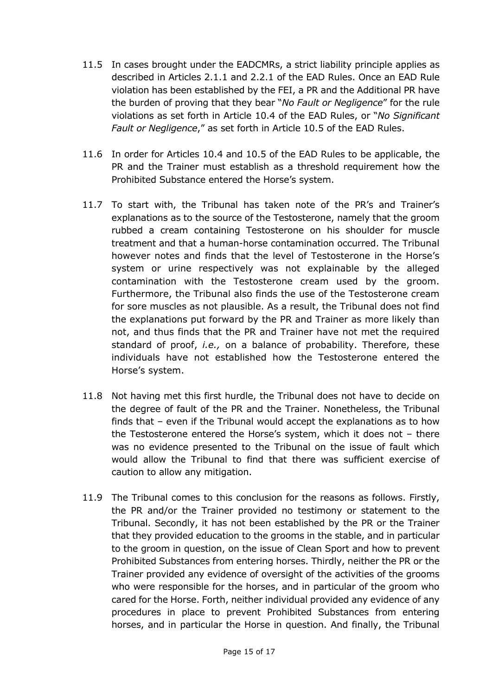- 11.5 In cases brought under the EADCMRs, a strict liability principle applies as described in Articles 2.1.1 and 2.2.1 of the EAD Rules. Once an EAD Rule violation has been established by the FEI, a PR and the Additional PR have the burden of proving that they bear "*No Fault or Negligence*" for the rule violations as set forth in Article 10.4 of the EAD Rules, or "*No Significant Fault or Negligence*," as set forth in Article 10.5 of the EAD Rules.
- 11.6 In order for Articles 10.4 and 10.5 of the EAD Rules to be applicable, the PR and the Trainer must establish as a threshold requirement how the Prohibited Substance entered the Horse's system.
- 11.7 To start with, the Tribunal has taken note of the PR's and Trainer's explanations as to the source of the Testosterone, namely that the groom rubbed a cream containing Testosterone on his shoulder for muscle treatment and that a human-horse contamination occurred. The Tribunal however notes and finds that the level of Testosterone in the Horse's system or urine respectively was not explainable by the alleged contamination with the Testosterone cream used by the groom. Furthermore, the Tribunal also finds the use of the Testosterone cream for sore muscles as not plausible. As a result, the Tribunal does not find the explanations put forward by the PR and Trainer as more likely than not, and thus finds that the PR and Trainer have not met the required standard of proof, *i.e.,* on a balance of probability. Therefore, these individuals have not established how the Testosterone entered the Horse's system.
- 11.8 Not having met this first hurdle, the Tribunal does not have to decide on the degree of fault of the PR and the Trainer. Nonetheless, the Tribunal finds that – even if the Tribunal would accept the explanations as to how the Testosterone entered the Horse's system, which it does not – there was no evidence presented to the Tribunal on the issue of fault which would allow the Tribunal to find that there was sufficient exercise of caution to allow any mitigation.
- 11.9 The Tribunal comes to this conclusion for the reasons as follows. Firstly, the PR and/or the Trainer provided no testimony or statement to the Tribunal. Secondly, it has not been established by the PR or the Trainer that they provided education to the grooms in the stable, and in particular to the groom in question, on the issue of Clean Sport and how to prevent Prohibited Substances from entering horses. Thirdly, neither the PR or the Trainer provided any evidence of oversight of the activities of the grooms who were responsible for the horses, and in particular of the groom who cared for the Horse. Forth, neither individual provided any evidence of any procedures in place to prevent Prohibited Substances from entering horses, and in particular the Horse in question. And finally, the Tribunal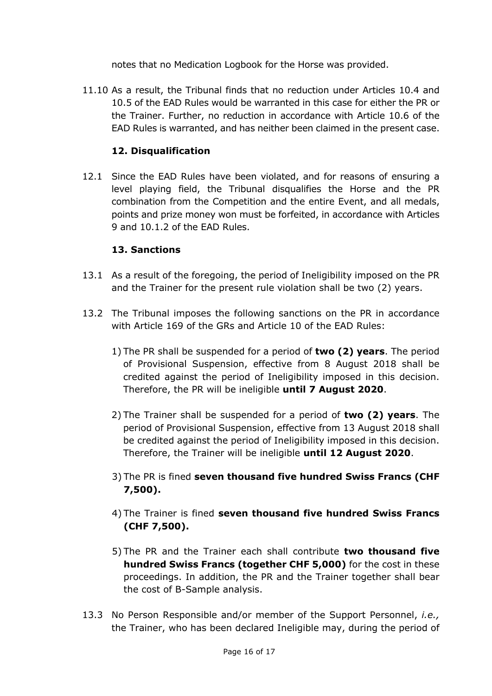notes that no Medication Logbook for the Horse was provided.

11.10 As a result, the Tribunal finds that no reduction under Articles 10.4 and 10.5 of the EAD Rules would be warranted in this case for either the PR or the Trainer. Further, no reduction in accordance with Article 10.6 of the EAD Rules is warranted, and has neither been claimed in the present case.

# **12. Disqualification**

12.1 Since the EAD Rules have been violated, and for reasons of ensuring a level playing field, the Tribunal disqualifies the Horse and the PR combination from the Competition and the entire Event, and all medals, points and prize money won must be forfeited, in accordance with Articles 9 and 10.1.2 of the EAD Rules.

# **13. Sanctions**

- 13.1 As a result of the foregoing, the period of Ineligibility imposed on the PR and the Trainer for the present rule violation shall be two (2) years.
- 13.2 The Tribunal imposes the following sanctions on the PR in accordance with Article 169 of the GRs and Article 10 of the EAD Rules:
	- 1) The PR shall be suspended for a period of **two (2) years**. The period of Provisional Suspension, effective from 8 August 2018 shall be credited against the period of Ineligibility imposed in this decision. Therefore, the PR will be ineligible **until 7 August 2020**.
	- 2) The Trainer shall be suspended for a period of **two (2) years**. The period of Provisional Suspension, effective from 13 August 2018 shall be credited against the period of Ineligibility imposed in this decision. Therefore, the Trainer will be ineligible **until 12 August 2020**.
	- 3) The PR is fined **seven thousand five hundred Swiss Francs (CHF 7,500).**
	- 4) The Trainer is fined **seven thousand five hundred Swiss Francs (CHF 7,500).**
	- 5) The PR and the Trainer each shall contribute **two thousand five hundred Swiss Francs (together CHF 5,000)** for the cost in these proceedings. In addition, the PR and the Trainer together shall bear the cost of B-Sample analysis.
- 13.3 No Person Responsible and/or member of the Support Personnel, *i.e.,* the Trainer, who has been declared Ineligible may, during the period of